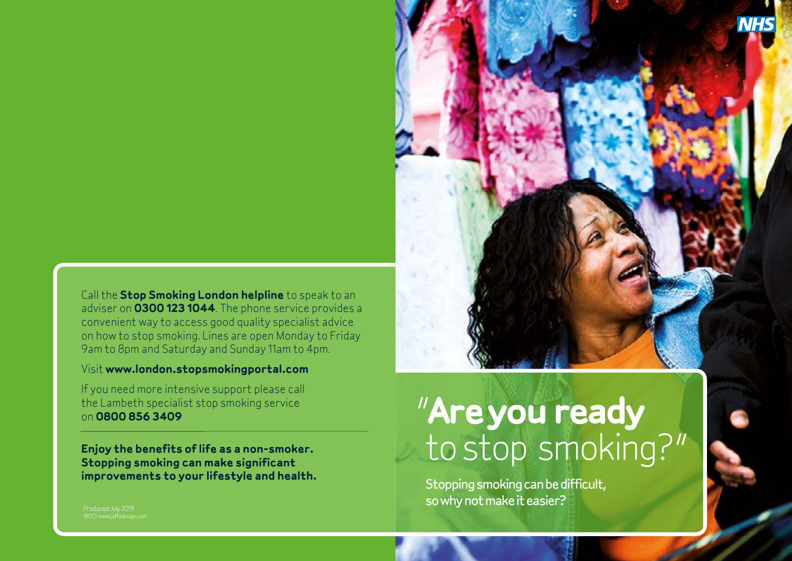Call the **Stop Smoking London helpline** to speak to an adviser on **0300 123 1044**. The phone service provides a convenient way to access good quality specialist advice on how to stop smoking. Lines are open Monday to Friday 9am to 8pm and Saturday and Sunday 11am to 4pm.

### Visit **www.london.stopsmokingportal.com**

If you need more intensive support please call the Lambeth specialist stop smoking service on **0800 856 3409**

**Enjoy the benefits of life as a non-smoker. Stopping smoking can make significant improvements to your lifestyle and health.**

# "**Are you ready** to stop smoking?"

Stopping smoking can be difficult, so why not make it easier?

Produced: July 2019 19073 www.jaffadesign.com